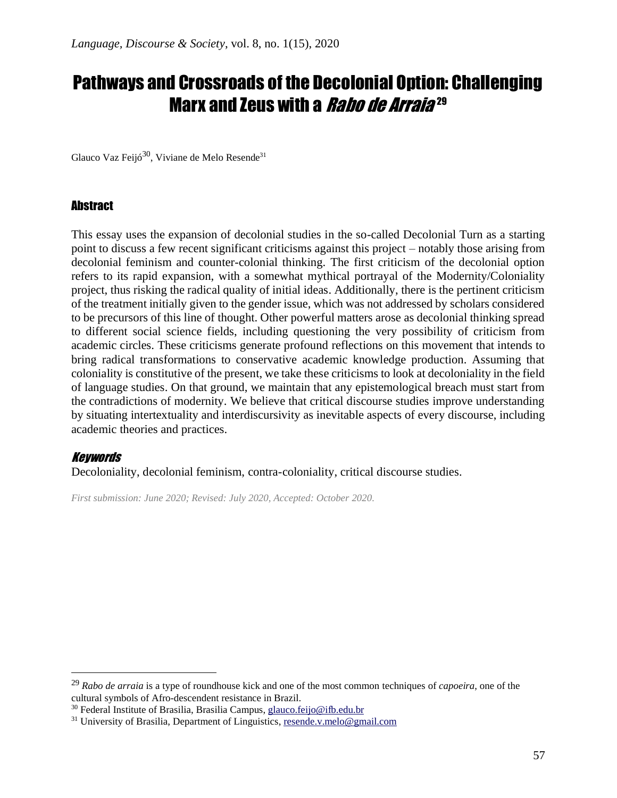# Pathways and Crossroads of the Decolonial Option: Challenging Marx and Zeus with a *Rabo de Arraia* 29

Glauco Vaz Feijó<sup>30</sup>, Viviane de Melo Resende<sup>31</sup>

#### **Abstract**

This essay uses the expansion of decolonial studies in the so-called Decolonial Turn as a starting point to discuss a few recent significant criticisms against this project – notably those arising from decolonial feminism and counter-colonial thinking. The first criticism of the decolonial option refers to its rapid expansion, with a somewhat mythical portrayal of the Modernity/Coloniality project, thus risking the radical quality of initial ideas. Additionally, there is the pertinent criticism of the treatment initially given to the gender issue, which was not addressed by scholars considered to be precursors of this line of thought. Other powerful matters arose as decolonial thinking spread to different social science fields, including questioning the very possibility of criticism from academic circles. These criticisms generate profound reflections on this movement that intends to bring radical transformations to conservative academic knowledge production. Assuming that coloniality is constitutive of the present, we take these criticisms to look at decoloniality in the field of language studies. On that ground, we maintain that any epistemological breach must start from the contradictions of modernity. We believe that critical discourse studies improve understanding by situating intertextuality and interdiscursivity as inevitable aspects of every discourse, including academic theories and practices.

#### Keywords

Decoloniality, decolonial feminism, contra-coloniality, critical discourse studies.

*First submission: June 2020; Revised: July 2020, Accepted: October 2020.*

<sup>29</sup> *Rabo de arraia* is a type of roundhouse kick and one of the most common techniques of *capoeira*, one of the cultural symbols of Afro-descendent resistance in Brazil.

<sup>30</sup> Federal Institute of Brasilia, Brasilia Campus, [glauco.feijo@ifb.edu.br](mailto:glauco.feijo@ifb.edu.br)

<sup>&</sup>lt;sup>31</sup> University of Brasilia, Department of Linguistics[, resende.v.melo@gmail.com](mailto:resende.v.melo@gmail.com)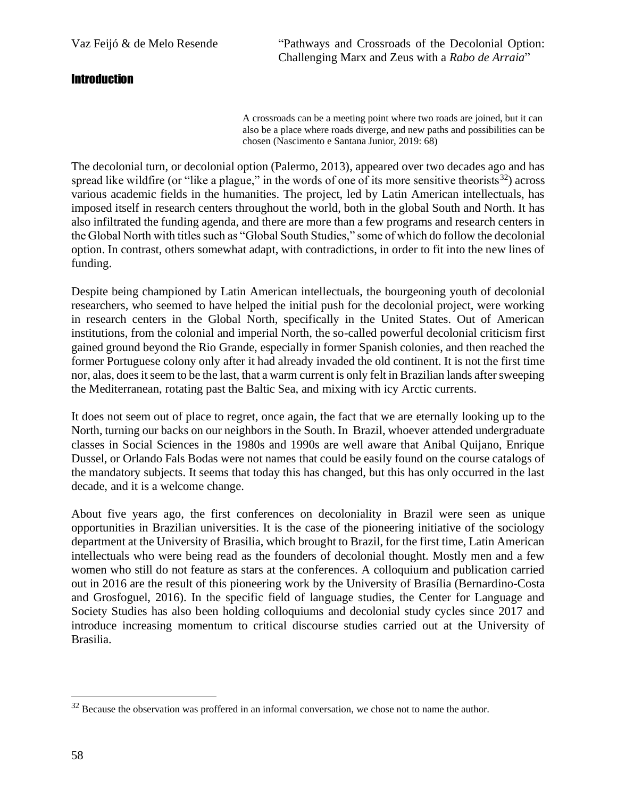Vaz Feijó & de Melo Resende "Pathways and Crossroads of the Decolonial Option: Challenging Marx and Zeus with a *Rabo de Arraia*"

#### **Introduction**

A crossroads can be a meeting point where two roads are joined, but it can also be a place where roads diverge, and new paths and possibilities can be chosen (Nascimento e Santana Junior, 2019: 68)

The decolonial turn, or decolonial option (Palermo, 2013), appeared over two decades ago and has spread like wildfire (or "like a plague," in the words of one of its more sensitive theorists<sup>32</sup>) across various academic fields in the humanities. The project, led by Latin American intellectuals, has imposed itself in research centers throughout the world, both in the global South and North. It has also infiltrated the funding agenda, and there are more than a few programs and research centers in the Global North with titles such as "Global South Studies," some of which do follow the decolonial option. In contrast, others somewhat adapt, with contradictions, in order to fit into the new lines of funding.

Despite being championed by Latin American intellectuals, the bourgeoning youth of decolonial researchers, who seemed to have helped the initial push for the decolonial project, were working in research centers in the Global North, specifically in the United States. Out of American institutions, from the colonial and imperial North, the so-called powerful decolonial criticism first gained ground beyond the Rio Grande, especially in former Spanish colonies, and then reached the former Portuguese colony only after it had already invaded the old continent. It is not the first time nor, alas, does it seem to be the last, that a warm current is only felt in Brazilian lands after sweeping the Mediterranean, rotating past the Baltic Sea, and mixing with icy Arctic currents.

It does not seem out of place to regret, once again, the fact that we are eternally looking up to the North, turning our backs on our neighbors in the South. In Brazil, whoever attended undergraduate classes in Social Sciences in the 1980s and 1990s are well aware that Anibal Quijano, Enrique Dussel, or Orlando Fals Bodas were not names that could be easily found on the course catalogs of the mandatory subjects. It seems that today this has changed, but this has only occurred in the last decade, and it is a welcome change.

About five years ago, the first conferences on decoloniality in Brazil were seen as unique opportunities in Brazilian universities. It is the case of the pioneering initiative of the sociology department at the University of Brasilia, which brought to Brazil, for the first time, Latin American intellectuals who were being read as the founders of decolonial thought. Mostly men and a few women who still do not feature as stars at the conferences. A colloquium and publication carried out in 2016 are the result of this pioneering work by the University of Brasília (Bernardino-Costa and Grosfoguel, 2016). In the specific field of language studies, the Center for Language and Society Studies has also been holding colloquiums and decolonial study cycles since 2017 and introduce increasing momentum to critical discourse studies carried out at the University of Brasilia.

<sup>&</sup>lt;sup>32</sup> Because the observation was proffered in an informal conversation, we chose not to name the author.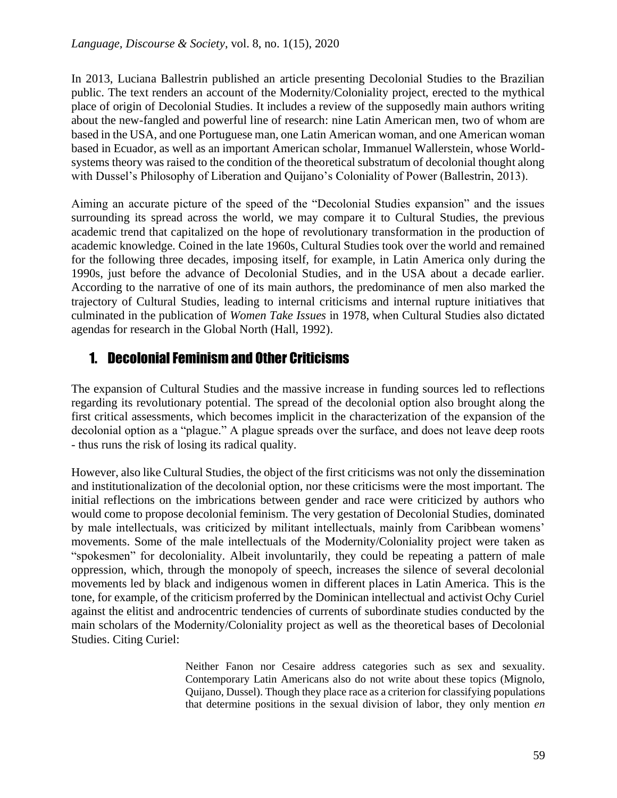In 2013, Luciana Ballestrin published an article presenting Decolonial Studies to the Brazilian public. The text renders an account of the Modernity/Coloniality project, erected to the mythical place of origin of Decolonial Studies. It includes a review of the supposedly main authors writing about the new-fangled and powerful line of research: nine Latin American men, two of whom are based in the USA, and one Portuguese man, one Latin American woman, and one American woman based in Ecuador, as well as an important American scholar, Immanuel Wallerstein, whose Worldsystems theory was raised to the condition of the theoretical substratum of decolonial thought along with Dussel's Philosophy of Liberation and Quijano's Coloniality of Power (Ballestrin, 2013).

Aiming an accurate picture of the speed of the "Decolonial Studies expansion" and the issues surrounding its spread across the world, we may compare it to Cultural Studies, the previous academic trend that capitalized on the hope of revolutionary transformation in the production of academic knowledge. Coined in the late 1960s, Cultural Studies took over the world and remained for the following three decades, imposing itself, for example, in Latin America only during the 1990s, just before the advance of Decolonial Studies, and in the USA about a decade earlier. According to the narrative of one of its main authors, the predominance of men also marked the trajectory of Cultural Studies, leading to internal criticisms and internal rupture initiatives that culminated in the publication of *Women Take Issues* in 1978, when Cultural Studies also dictated agendas for research in the Global North (Hall, 1992).

## 1. Decolonial Feminism and Other Criticisms

The expansion of Cultural Studies and the massive increase in funding sources led to reflections regarding its revolutionary potential. The spread of the decolonial option also brought along the first critical assessments, which becomes implicit in the characterization of the expansion of the decolonial option as a "plague." A plague spreads over the surface, and does not leave deep roots - thus runs the risk of losing its radical quality.

However, also like Cultural Studies, the object of the first criticisms was not only the dissemination and institutionalization of the decolonial option, nor these criticisms were the most important. The initial reflections on the imbrications between gender and race were criticized by authors who would come to propose decolonial feminism. The very gestation of Decolonial Studies, dominated by male intellectuals, was criticized by militant intellectuals, mainly from Caribbean womens' movements. Some of the male intellectuals of the Modernity/Coloniality project were taken as "spokesmen" for decoloniality. Albeit involuntarily, they could be repeating a pattern of male oppression, which, through the monopoly of speech, increases the silence of several decolonial movements led by black and indigenous women in different places in Latin America. This is the tone, for example, of the criticism proferred by the Dominican intellectual and activist Ochy Curiel against the elitist and androcentric tendencies of currents of subordinate studies conducted by the main scholars of the Modernity/Coloniality project as well as the theoretical bases of Decolonial Studies. Citing Curiel:

> Neither Fanon nor Cesaire address categories such as sex and sexuality. Contemporary Latin Americans also do not write about these topics (Mignolo, Quijano, Dussel). Though they place race as a criterion for classifying populations that determine positions in the sexual division of labor, they only mention *en*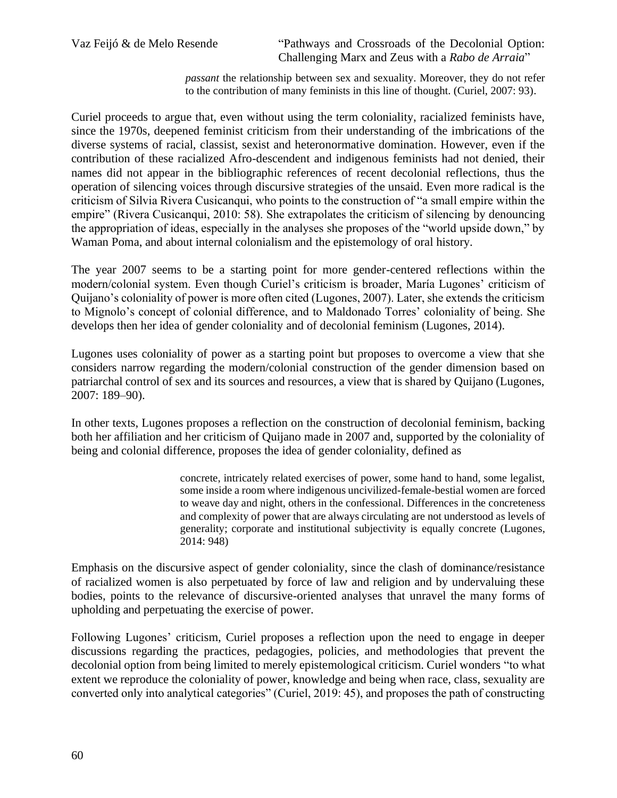Vaz Feijó & de Melo Resende "Pathways and Crossroads of the Decolonial Option: Challenging Marx and Zeus with a *Rabo de Arraia*"

> *passant* the relationship between sex and sexuality. Moreover, they do not refer to the contribution of many feminists in this line of thought. (Curiel, 2007: 93).

Curiel proceeds to argue that, even without using the term coloniality, racialized feminists have, since the 1970s, deepened feminist criticism from their understanding of the imbrications of the diverse systems of racial, classist, sexist and heteronormative domination. However, even if the contribution of these racialized Afro-descendent and indigenous feminists had not denied, their names did not appear in the bibliographic references of recent decolonial reflections, thus the operation of silencing voices through discursive strategies of the unsaid. Even more radical is the criticism of Silvia Rivera Cusicanqui, who points to the construction of "a small empire within the empire" (Rivera Cusicanqui, 2010: 58). She extrapolates the criticism of silencing by denouncing the appropriation of ideas, especially in the analyses she proposes of the "world upside down," by Waman Poma, and about internal colonialism and the epistemology of oral history.

The year 2007 seems to be a starting point for more gender-centered reflections within the modern/colonial system. Even though Curiel's criticism is broader, María Lugones' criticism of Quijano's coloniality of power is more often cited (Lugones, 2007). Later, she extends the criticism to Mignolo's concept of colonial difference, and to Maldonado Torres' coloniality of being. She develops then her idea of gender coloniality and of decolonial feminism (Lugones, 2014).

Lugones uses coloniality of power as a starting point but proposes to overcome a view that she considers narrow regarding the modern/colonial construction of the gender dimension based on patriarchal control of sex and its sources and resources, a view that is shared by Quijano (Lugones, 2007: 189–90).

In other texts, Lugones proposes a reflection on the construction of decolonial feminism, backing both her affiliation and her criticism of Quijano made in 2007 and, supported by the coloniality of being and colonial difference, proposes the idea of gender coloniality, defined as

> concrete, intricately related exercises of power, some hand to hand, some legalist, some inside a room where indigenous uncivilized-female-bestial women are forced to weave day and night, others in the confessional. Differences in the concreteness and complexity of power that are always circulating are not understood as levels of generality; corporate and institutional subjectivity is equally concrete (Lugones, 2014: 948)

Emphasis on the discursive aspect of gender coloniality, since the clash of dominance/resistance of racialized women is also perpetuated by force of law and religion and by undervaluing these bodies, points to the relevance of discursive-oriented analyses that unravel the many forms of upholding and perpetuating the exercise of power.

Following Lugones' criticism, Curiel proposes a reflection upon the need to engage in deeper discussions regarding the practices, pedagogies, policies, and methodologies that prevent the decolonial option from being limited to merely epistemological criticism. Curiel wonders "to what extent we reproduce the coloniality of power, knowledge and being when race, class, sexuality are converted only into analytical categories" (Curiel, 2019: 45), and proposes the path of constructing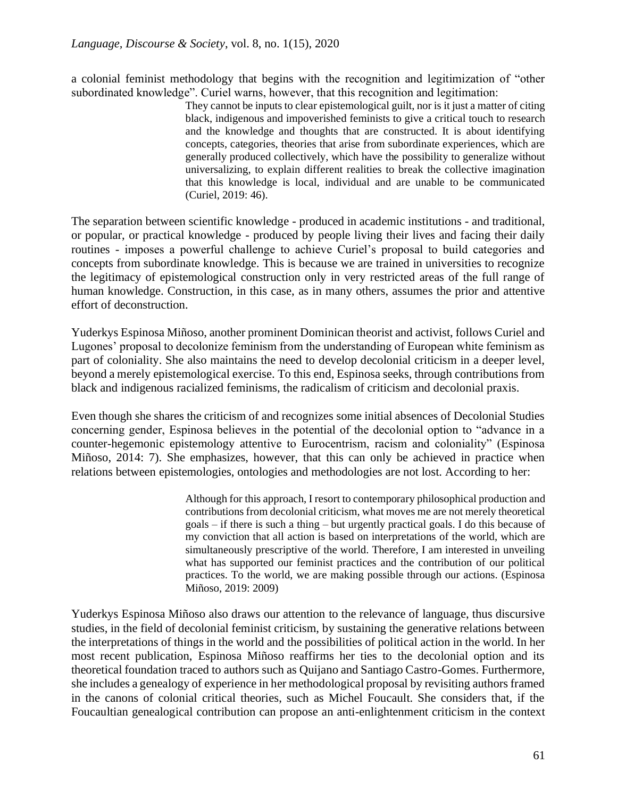a colonial feminist methodology that begins with the recognition and legitimization of "other subordinated knowledge". Curiel warns, however, that this recognition and legitimation:

> They cannot be inputs to clear epistemological guilt, nor is it just a matter of citing black, indigenous and impoverished feminists to give a critical touch to research and the knowledge and thoughts that are constructed. It is about identifying concepts, categories, theories that arise from subordinate experiences, which are generally produced collectively, which have the possibility to generalize without universalizing, to explain different realities to break the collective imagination that this knowledge is local, individual and are unable to be communicated (Curiel, 2019: 46).

The separation between scientific knowledge - produced in academic institutions - and traditional, or popular, or practical knowledge - produced by people living their lives and facing their daily routines - imposes a powerful challenge to achieve Curiel's proposal to build categories and concepts from subordinate knowledge. This is because we are trained in universities to recognize the legitimacy of epistemological construction only in very restricted areas of the full range of human knowledge. Construction, in this case, as in many others, assumes the prior and attentive effort of deconstruction.

Yuderkys Espinosa Miñoso, another prominent Dominican theorist and activist, follows Curiel and Lugones' proposal to decolonize feminism from the understanding of European white feminism as part of coloniality. She also maintains the need to develop decolonial criticism in a deeper level, beyond a merely epistemological exercise. To this end, Espinosa seeks, through contributions from black and indigenous racialized feminisms, the radicalism of criticism and decolonial praxis.

Even though she shares the criticism of and recognizes some initial absences of Decolonial Studies concerning gender, Espinosa believes in the potential of the decolonial option to "advance in a counter-hegemonic epistemology attentive to Eurocentrism, racism and coloniality" (Espinosa Miñoso, 2014: 7). She emphasizes, however, that this can only be achieved in practice when relations between epistemologies, ontologies and methodologies are not lost. According to her:

> Although for this approach, I resort to contemporary philosophical production and contributions from decolonial criticism, what moves me are not merely theoretical goals – if there is such a thing – but urgently practical goals. I do this because of my conviction that all action is based on interpretations of the world, which are simultaneously prescriptive of the world. Therefore, I am interested in unveiling what has supported our feminist practices and the contribution of our political practices. To the world, we are making possible through our actions. (Espinosa Miñoso, 2019: 2009)

Yuderkys Espinosa Miñoso also draws our attention to the relevance of language, thus discursive studies, in the field of decolonial feminist criticism, by sustaining the generative relations between the interpretations of things in the world and the possibilities of political action in the world. In her most recent publication, Espinosa Miñoso reaffirms her ties to the decolonial option and its theoretical foundation traced to authors such as Quijano and Santiago Castro-Gomes. Furthermore, she includes a genealogy of experience in her methodological proposal by revisiting authors framed in the canons of colonial critical theories, such as Michel Foucault. She considers that, if the Foucaultian genealogical contribution can propose an anti-enlightenment criticism in the context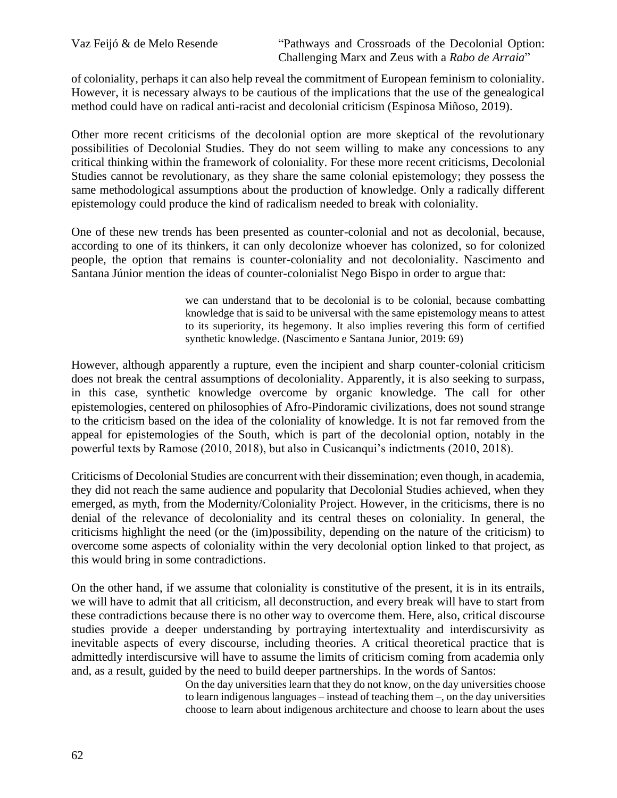of coloniality, perhaps it can also help reveal the commitment of European feminism to coloniality. However, it is necessary always to be cautious of the implications that the use of the genealogical method could have on radical anti-racist and decolonial criticism (Espinosa Miñoso, 2019).

Other more recent criticisms of the decolonial option are more skeptical of the revolutionary possibilities of Decolonial Studies. They do not seem willing to make any concessions to any critical thinking within the framework of coloniality. For these more recent criticisms, Decolonial Studies cannot be revolutionary, as they share the same colonial epistemology; they possess the same methodological assumptions about the production of knowledge. Only a radically different epistemology could produce the kind of radicalism needed to break with coloniality.

One of these new trends has been presented as counter-colonial and not as decolonial, because, according to one of its thinkers, it can only decolonize whoever has colonized, so for colonized people, the option that remains is counter-coloniality and not decoloniality. Nascimento and Santana Júnior mention the ideas of counter-colonialist Nego Bispo in order to argue that:

> we can understand that to be decolonial is to be colonial, because combatting knowledge that is said to be universal with the same epistemology means to attest to its superiority, its hegemony. It also implies revering this form of certified synthetic knowledge. (Nascimento e Santana Junior, 2019: 69)

However, although apparently a rupture, even the incipient and sharp counter-colonial criticism does not break the central assumptions of decoloniality. Apparently, it is also seeking to surpass, in this case, synthetic knowledge overcome by organic knowledge. The call for other epistemologies, centered on philosophies of Afro-Pindoramic civilizations, does not sound strange to the criticism based on the idea of the coloniality of knowledge. It is not far removed from the appeal for epistemologies of the South, which is part of the decolonial option, notably in the powerful texts by Ramose (2010, 2018), but also in Cusicanqui's indictments (2010, 2018).

Criticisms of Decolonial Studies are concurrent with their dissemination; even though, in academia, they did not reach the same audience and popularity that Decolonial Studies achieved, when they emerged, as myth, from the Modernity/Coloniality Project. However, in the criticisms, there is no denial of the relevance of decoloniality and its central theses on coloniality. In general, the criticisms highlight the need (or the (im)possibility, depending on the nature of the criticism) to overcome some aspects of coloniality within the very decolonial option linked to that project, as this would bring in some contradictions.

On the other hand, if we assume that coloniality is constitutive of the present, it is in its entrails, we will have to admit that all criticism, all deconstruction, and every break will have to start from these contradictions because there is no other way to overcome them. Here, also, critical discourse studies provide a deeper understanding by portraying intertextuality and interdiscursivity as inevitable aspects of every discourse, including theories. A critical theoretical practice that is admittedly interdiscursive will have to assume the limits of criticism coming from academia only and, as a result, guided by the need to build deeper partnerships. In the words of Santos:

On the day universities learn that they do not know, on the day universities choose to learn indigenous languages – instead of teaching them –, on the day universities choose to learn about indigenous architecture and choose to learn about the uses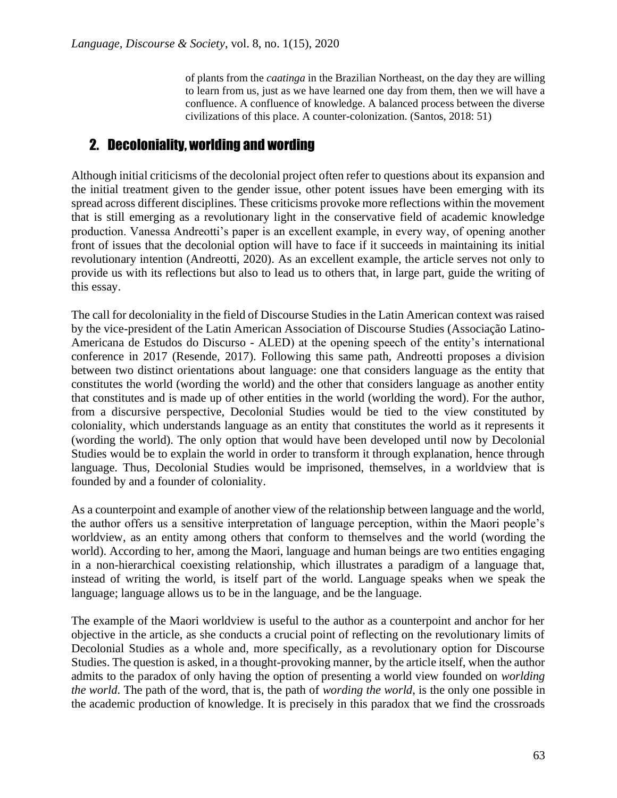of plants from the *caatinga* in the Brazilian Northeast, on the day they are willing to learn from us, just as we have learned one day from them, then we will have a confluence. A confluence of knowledge. A balanced process between the diverse civilizations of this place. A counter-colonization. (Santos, 2018: 51)

### 2. Decoloniality, worlding and wording

Although initial criticisms of the decolonial project often refer to questions about its expansion and the initial treatment given to the gender issue, other potent issues have been emerging with its spread across different disciplines. These criticisms provoke more reflections within the movement that is still emerging as a revolutionary light in the conservative field of academic knowledge production. Vanessa Andreotti's paper is an excellent example, in every way, of opening another front of issues that the decolonial option will have to face if it succeeds in maintaining its initial revolutionary intention (Andreotti, 2020). As an excellent example, the article serves not only to provide us with its reflections but also to lead us to others that, in large part, guide the writing of this essay.

The call for decoloniality in the field of Discourse Studies in the Latin American context was raised by the vice-president of the Latin American Association of Discourse Studies (Associação Latino-Americana de Estudos do Discurso - ALED) at the opening speech of the entity's international conference in 2017 (Resende, 2017). Following this same path, Andreotti proposes a division between two distinct orientations about language: one that considers language as the entity that constitutes the world (wording the world) and the other that considers language as another entity that constitutes and is made up of other entities in the world (worlding the word). For the author, from a discursive perspective, Decolonial Studies would be tied to the view constituted by coloniality, which understands language as an entity that constitutes the world as it represents it (wording the world). The only option that would have been developed until now by Decolonial Studies would be to explain the world in order to transform it through explanation, hence through language. Thus, Decolonial Studies would be imprisoned, themselves, in a worldview that is founded by and a founder of coloniality.

As a counterpoint and example of another view of the relationship between language and the world, the author offers us a sensitive interpretation of language perception, within the Maori people's worldview, as an entity among others that conform to themselves and the world (wording the world). According to her, among the Maori, language and human beings are two entities engaging in a non-hierarchical coexisting relationship, which illustrates a paradigm of a language that, instead of writing the world, is itself part of the world. Language speaks when we speak the language; language allows us to be in the language, and be the language.

The example of the Maori worldview is useful to the author as a counterpoint and anchor for her objective in the article, as she conducts a crucial point of reflecting on the revolutionary limits of Decolonial Studies as a whole and, more specifically, as a revolutionary option for Discourse Studies. The question is asked, in a thought-provoking manner, by the article itself, when the author admits to the paradox of only having the option of presenting a world view founded on *worlding the world*. The path of the word, that is, the path of *wording the world*, is the only one possible in the academic production of knowledge. It is precisely in this paradox that we find the crossroads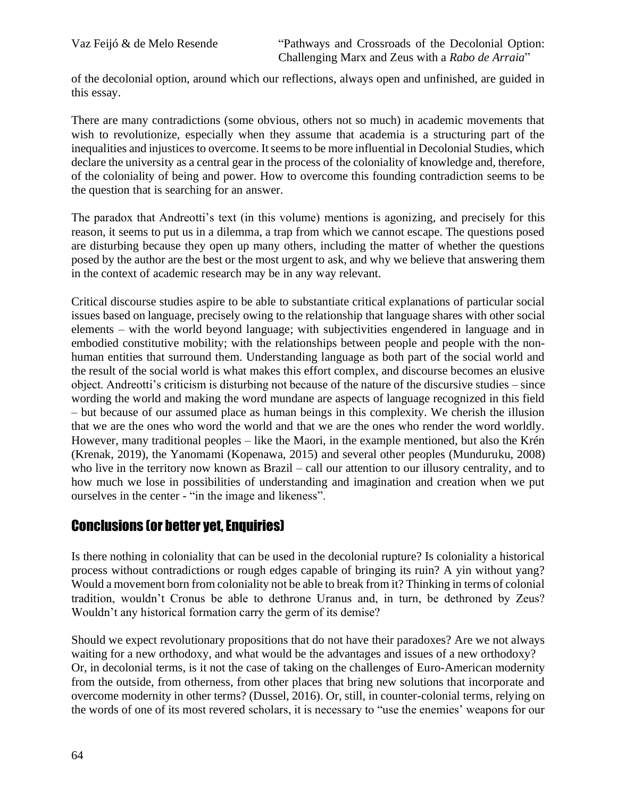of the decolonial option, around which our reflections, always open and unfinished, are guided in this essay.

There are many contradictions (some obvious, others not so much) in academic movements that wish to revolutionize, especially when they assume that academia is a structuring part of the inequalities and injustices to overcome. It seems to be more influential in Decolonial Studies, which declare the university as a central gear in the process of the coloniality of knowledge and, therefore, of the coloniality of being and power. How to overcome this founding contradiction seems to be the question that is searching for an answer.

The paradox that Andreotti's text (in this volume) mentions is agonizing, and precisely for this reason, it seems to put us in a dilemma, a trap from which we cannot escape. The questions posed are disturbing because they open up many others, including the matter of whether the questions posed by the author are the best or the most urgent to ask, and why we believe that answering them in the context of academic research may be in any way relevant.

Critical discourse studies aspire to be able to substantiate critical explanations of particular social issues based on language, precisely owing to the relationship that language shares with other social elements – with the world beyond language; with subjectivities engendered in language and in embodied constitutive mobility; with the relationships between people and people with the nonhuman entities that surround them. Understanding language as both part of the social world and the result of the social world is what makes this effort complex, and discourse becomes an elusive object. Andreotti's criticism is disturbing not because of the nature of the discursive studies – since wording the world and making the word mundane are aspects of language recognized in this field – but because of our assumed place as human beings in this complexity. We cherish the illusion that we are the ones who word the world and that we are the ones who render the word worldly. However, many traditional peoples – like the Maori, in the example mentioned, but also the Krén (Krenak, 2019), the Yanomami (Kopenawa, 2015) and several other peoples (Munduruku, 2008) who live in the territory now known as Brazil – call our attention to our illusory centrality, and to how much we lose in possibilities of understanding and imagination and creation when we put ourselves in the center - "in the image and likeness".

## Conclusions (or better yet, Enquiries)

Is there nothing in coloniality that can be used in the decolonial rupture? Is coloniality a historical process without contradictions or rough edges capable of bringing its ruin? A yin without yang? Would a movement born from coloniality not be able to break from it? Thinking in terms of colonial tradition, wouldn't Cronus be able to dethrone Uranus and, in turn, be dethroned by Zeus? Wouldn't any historical formation carry the germ of its demise?

Should we expect revolutionary propositions that do not have their paradoxes? Are we not always waiting for a new orthodoxy, and what would be the advantages and issues of a new orthodoxy? Or, in decolonial terms, is it not the case of taking on the challenges of Euro-American modernity from the outside, from otherness, from other places that bring new solutions that incorporate and overcome modernity in other terms? (Dussel, 2016). Or, still, in counter-colonial terms, relying on the words of one of its most revered scholars, it is necessary to "use the enemies' weapons for our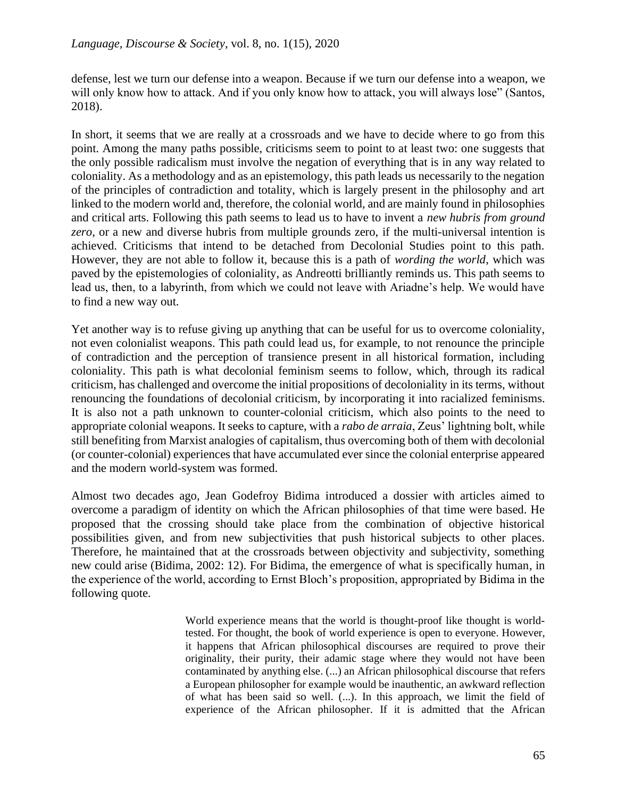defense, lest we turn our defense into a weapon. Because if we turn our defense into a weapon, we will only know how to attack. And if you only know how to attack, you will always lose" (Santos, 2018).

In short, it seems that we are really at a crossroads and we have to decide where to go from this point. Among the many paths possible, criticisms seem to point to at least two: one suggests that the only possible radicalism must involve the negation of everything that is in any way related to coloniality. As a methodology and as an epistemology, this path leads us necessarily to the negation of the principles of contradiction and totality, which is largely present in the philosophy and art linked to the modern world and, therefore, the colonial world, and are mainly found in philosophies and critical arts. Following this path seems to lead us to have to invent a *new hubris from ground zero*, or a new and diverse hubris from multiple grounds zero, if the multi-universal intention is achieved. Criticisms that intend to be detached from Decolonial Studies point to this path. However, they are not able to follow it, because this is a path of *wording the world*, which was paved by the epistemologies of coloniality, as Andreotti brilliantly reminds us. This path seems to lead us, then, to a labyrinth, from which we could not leave with Ariadne's help. We would have to find a new way out.

Yet another way is to refuse giving up anything that can be useful for us to overcome coloniality, not even colonialist weapons. This path could lead us, for example, to not renounce the principle of contradiction and the perception of transience present in all historical formation, including coloniality. This path is what decolonial feminism seems to follow, which, through its radical criticism, has challenged and overcome the initial propositions of decoloniality in its terms, without renouncing the foundations of decolonial criticism, by incorporating it into racialized feminisms. It is also not a path unknown to counter-colonial criticism, which also points to the need to appropriate colonial weapons. It seeks to capture, with a *rabo de arraia*, Zeus' lightning bolt, while still benefiting from Marxist analogies of capitalism, thus overcoming both of them with decolonial (or counter-colonial) experiences that have accumulated ever since the colonial enterprise appeared and the modern world-system was formed.

Almost two decades ago, Jean Godefroy Bidima introduced a dossier with articles aimed to overcome a paradigm of identity on which the African philosophies of that time were based. He proposed that the crossing should take place from the combination of objective historical possibilities given, and from new subjectivities that push historical subjects to other places. Therefore, he maintained that at the crossroads between objectivity and subjectivity, something new could arise (Bidima, 2002: 12). For Bidima, the emergence of what is specifically human, in the experience of the world, according to Ernst Bloch's proposition, appropriated by Bidima in the following quote.

> World experience means that the world is thought-proof like thought is worldtested. For thought, the book of world experience is open to everyone. However, it happens that African philosophical discourses are required to prove their originality, their purity, their adamic stage where they would not have been contaminated by anything else. (...) an African philosophical discourse that refers a European philosopher for example would be inauthentic, an awkward reflection of what has been said so well. (...). In this approach, we limit the field of experience of the African philosopher. If it is admitted that the African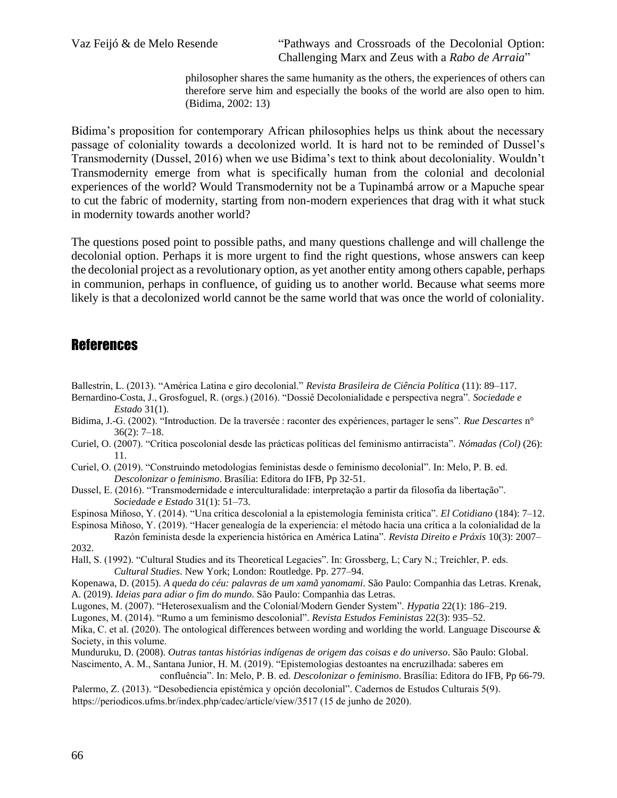Vaz Feijó & de Melo Resende "Pathways and Crossroads of the Decolonial Option: Challenging Marx and Zeus with a *Rabo de Arraia*"

> philosopher shares the same humanity as the others, the experiences of others can therefore serve him and especially the books of the world are also open to him. (Bidima, 2002: 13)

Bidima's proposition for contemporary African philosophies helps us think about the necessary passage of coloniality towards a decolonized world. It is hard not to be reminded of Dussel's Transmodernity (Dussel, 2016) when we use Bidima's text to think about decoloniality. Wouldn't Transmodernity emerge from what is specifically human from the colonial and decolonial experiences of the world? Would Transmodernity not be a Tupinambá arrow or a Mapuche spear to cut the fabric of modernity, starting from non-modern experiences that drag with it what stuck in modernity towards another world?

The questions posed point to possible paths, and many questions challenge and will challenge the decolonial option. Perhaps it is more urgent to find the right questions, whose answers can keep the decolonial project as a revolutionary option, as yet another entity among others capable, perhaps in communion, perhaps in confluence, of guiding us to another world. Because what seems more likely is that a decolonized world cannot be the same world that was once the world of coloniality.

### **References**

- Ballestrin, L. (2013). "América Latina e giro decolonial." *Revista Brasileira de Ciência Política* (11): 89–117.
- Bernardino-Costa, J., Grosfoguel, R. (orgs.) (2016). "Dossiê Decolonialidade e perspectiva negra". *Sociedade e Estado* 31(1).
- Bidima, J.-G. (2002). "Introduction. De la traversée : raconter des expériences, partager le sens". *Rue Descartes* n° 36(2): 7–18.
- Curiel, O. (2007). "Crítica poscolonial desde las prácticas políticas del feminismo antirracista". *Nómadas (Col)* (26): 11.

Curiel, O. (2019). "Construindo metodologias feministas desde o feminismo decolonial". In: Melo, P. B. ed. *Descolonizar o feminismo*. Brasília: Editora do IFB, Pp 32-51.

Dussel, E. (2016). "Transmodernidade e interculturalidade: interpretação a partir da filosofia da libertação". *Sociedade e Estado* 31(1): 51–73.

Espinosa Miñoso, Y. (2014). "Una crítica descolonial a la epistemología feminista crítica". *El Cotidiano* (184): 7–12.

Espinosa Miñoso, Y. (2019). "Hacer genealogía de la experiencia: el método hacia una crítica a la colonialidad de la Razón feminista desde la experiencia histórica en América Latina". *Revista Direito e Práxis* 10(3): 2007– 2032.

Hall, S. (1992). "Cultural Studies and its Theoretical Legacies". In: Grossberg, L; Cary N.; Treichler, P. eds. *Cultural Studies*. New York; London: Routledge. Pp. 277–94.

Kopenawa, D. (2015). *A queda do céu: palavras de um xamã yanomami*. São Paulo: Companhia das Letras. Krenak, A. (2019). *Ideias para adiar o fim do mundo*. São Paulo: Companhia das Letras.

Lugones, M. (2007). "Heterosexualism and the Colonial/Modern Gender System". *Hypatia* 22(1): 186–219.

Lugones, M. (2014). "Rumo a um feminismo descolonial". *Revista Estudos Feministas* 22(3): 935–52.

Mika, C. et al. (2020). The ontological differences between wording and worlding the world. Language Discourse  $\&$ Society, in this volume.

Munduruku, D. (2008). *Outras tantas histórias indígenas de origem das coisas e do universo*. São Paulo: Global.

Nascimento, A. M., Santana Junior, H. M. (2019). "Epistemologias destoantes na encruzilhada: saberes em

confluência". In: Melo, P. B. ed. *Descolonizar o feminismo*. Brasília: Editora do IFB, Pp 66-79.

Palermo, Z. (2013). "Desobediencia epistémica y opción decolonial". Cadernos de Estudos Culturais 5(9). https://periodicos.ufms.br/index.php/cadec/article/view/3517 (15 de junho de 2020).